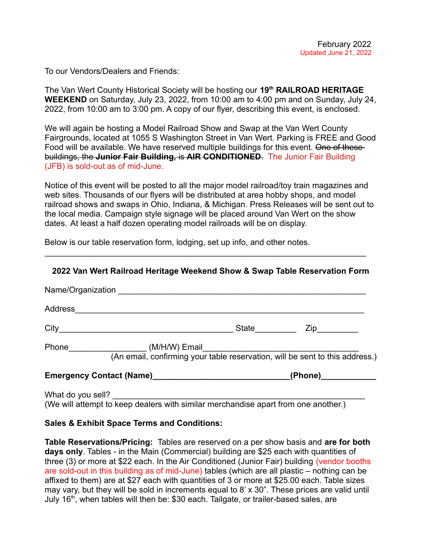To our Vendors/Dealers and Friends:

The Van Wert County Historical Society will be hosting our **19th RAILROAD HERITAGE WEEKEND** on Saturday, July 23, 2022, from 10:00 am to 4:00 pm and on Sunday, July 24, 2022, from 10:00 am to 3:00 pm. A copy of our flyer, describing this event, is enclosed.

We will again be hosting a Model Railroad Show and Swap at the Van Wert County Fairgrounds, located at 1055 S Washington Street in Van Wert. Parking is FREE and Good Food will be available. We have reserved multiple buildings for this event. One of thesebuildings, the **Junior Fair Building,** is **AIR CONDITIONED**. The Junior Fair Building (JFB) is sold-out as of mid-June.

Notice of this event will be posted to all the major model railroad/toy train magazines and web sites. Thousands of our flyers will be distributed at area hobby shops, and model railroad shows and swaps in Ohio, Indiana, & Michigan. Press Releases will be sent out to the local media. Campaign style signage will be placed around Van Wert on the show dates. At least a half dozen operating model railroads will be on display.

Below is our table reservation form, lodging, set up info, and other notes.

 $\mathcal{L}_\mathcal{L} = \{ \mathcal{L}_\mathcal{L} = \{ \mathcal{L}_\mathcal{L} = \{ \mathcal{L}_\mathcal{L} = \{ \mathcal{L}_\mathcal{L} = \{ \mathcal{L}_\mathcal{L} = \{ \mathcal{L}_\mathcal{L} = \{ \mathcal{L}_\mathcal{L} = \{ \mathcal{L}_\mathcal{L} = \{ \mathcal{L}_\mathcal{L} = \{ \mathcal{L}_\mathcal{L} = \{ \mathcal{L}_\mathcal{L} = \{ \mathcal{L}_\mathcal{L} = \{ \mathcal{L}_\mathcal{L} = \{ \mathcal{L}_\mathcal{$ 

|                                                                                  | City <u>City</u>                                                                   |  | State <b>Zip Zip</b> |
|----------------------------------------------------------------------------------|------------------------------------------------------------------------------------|--|----------------------|
|                                                                                  |                                                                                    |  |                      |
| Emergency Contact (Name)_________________________________(Phone)________________ |                                                                                    |  |                      |
|                                                                                  | (We will attempt to keep dealers with similar merchandise apart from one another.) |  |                      |

## **Sales & Exhibit Space Terms and Conditions:**

**Table Reservations/Pricing:** Tables are reserved on a per show basis and **are for both days only**. Tables - in the Main (Commercial) building are \$25 each with quantities of three (3) or more at \$22 each. In the Air Conditioned (Junior Fair) building (vendor booths are sold-out in this building as of mid-June) tables (which are all plastic – nothing can be affixed to them) are at \$27 each with quantities of 3 or more at \$25.00 each. Table sizes may vary, but they will be sold in increments equal to 8' x 30". These prices are valid until July 16<sup>th</sup>, when tables will then be: \$30 each. Tailgate, or trailer-based sales, are